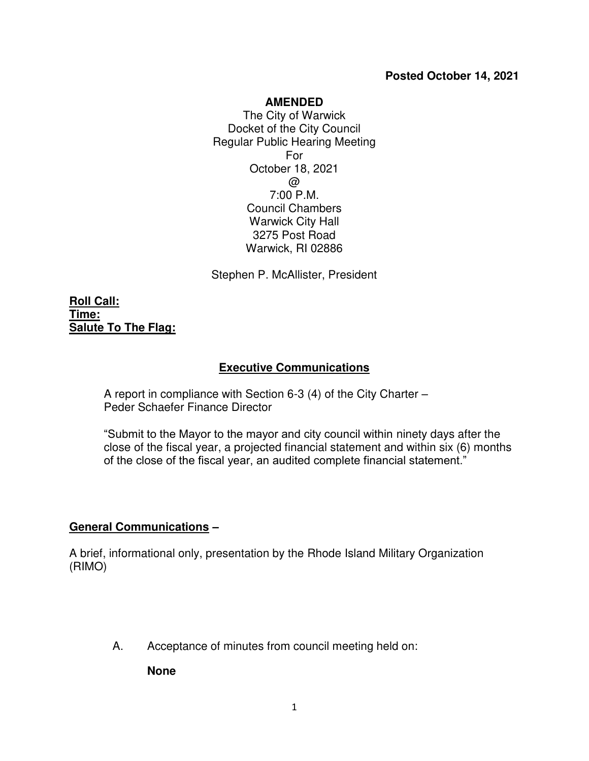#### **Posted October 14, 2021**

#### **AMENDED**

The City of Warwick Docket of the City Council Regular Public Hearing Meeting For October 18, 2021  $\omega$ 7:00 P.M. Council Chambers Warwick City Hall 3275 Post Road Warwick, RI 02886

Stephen P. McAllister, President

**Roll Call: Time: Salute To The Flag:**

#### **Executive Communications**

A report in compliance with Section 6-3 (4) of the City Charter – Peder Schaefer Finance Director

"Submit to the Mayor to the mayor and city council within ninety days after the close of the fiscal year, a projected financial statement and within six (6) months of the close of the fiscal year, an audited complete financial statement."

#### **General Communications –**

A brief, informational only, presentation by the Rhode Island Military Organization (RIMO)

A. Acceptance of minutes from council meeting held on:

**None**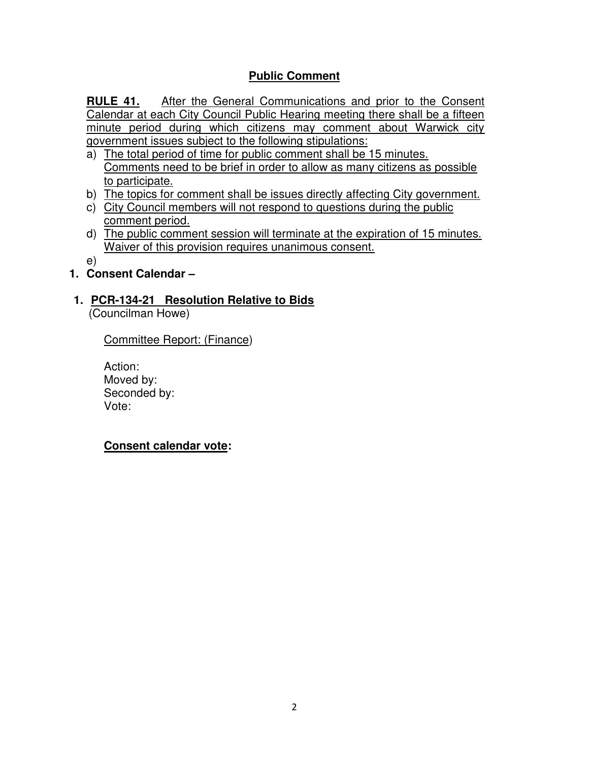# **Public Comment**

**RULE 41.** After the General Communications and prior to the Consent Calendar at each City Council Public Hearing meeting there shall be a fifteen minute period during which citizens may comment about Warwick city government issues subject to the following stipulations:

- a) The total period of time for public comment shall be 15 minutes. Comments need to be brief in order to allow as many citizens as possible to participate.
- b) The topics for comment shall be issues directly affecting City government.
- c) City Council members will not respond to questions during the public comment period.
- d) The public comment session will terminate at the expiration of 15 minutes. Waiver of this provision requires unanimous consent.

e)

- **1. Consent Calendar –**
- **1. PCR-134-21 Resolution Relative to Bids**

(Councilman Howe)

Committee Report: (Finance)

Action: Moved by: Seconded by: Vote:

**Consent calendar vote:**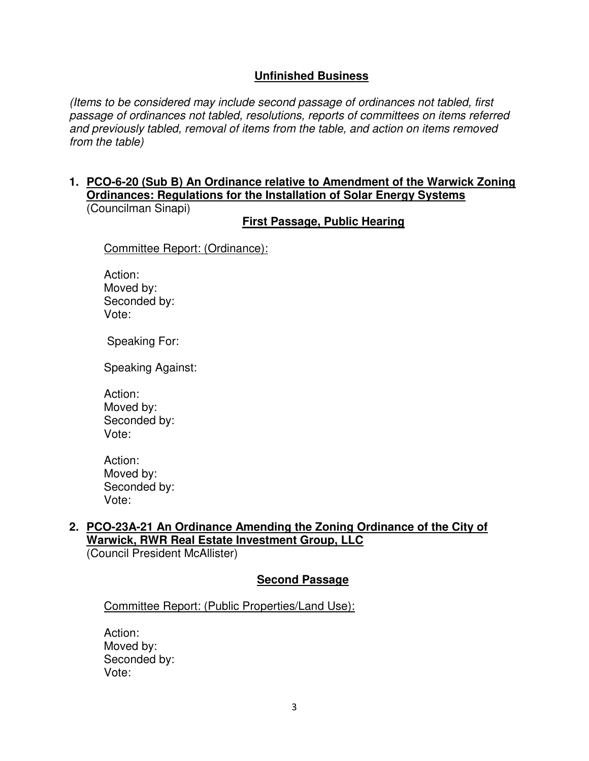# **Unfinished Business**

(Items to be considered may include second passage of ordinances not tabled, first passage of ordinances not tabled, resolutions, reports of committees on items referred and previously tabled, removal of items from the table, and action on items removed from the table)

#### **1. PCO-6-20 (Sub B) An Ordinance relative to Amendment of the Warwick Zoning Ordinances: Regulations for the Installation of Solar Energy Systems**  (Councilman Sinapi)

**First Passage, Public Hearing** 

Committee Report: (Ordinance):

Action: Moved by: Seconded by: Vote:

Speaking For:

Speaking Against:

Action: Moved by: Seconded by: Vote:

Action: Moved by: Seconded by: Vote:

# **2. PCO-23A-21 An Ordinance Amending the Zoning Ordinance of the City of Warwick, RWR Real Estate Investment Group, LLC**

(Council President McAllister)

# **Second Passage**

Committee Report: (Public Properties/Land Use):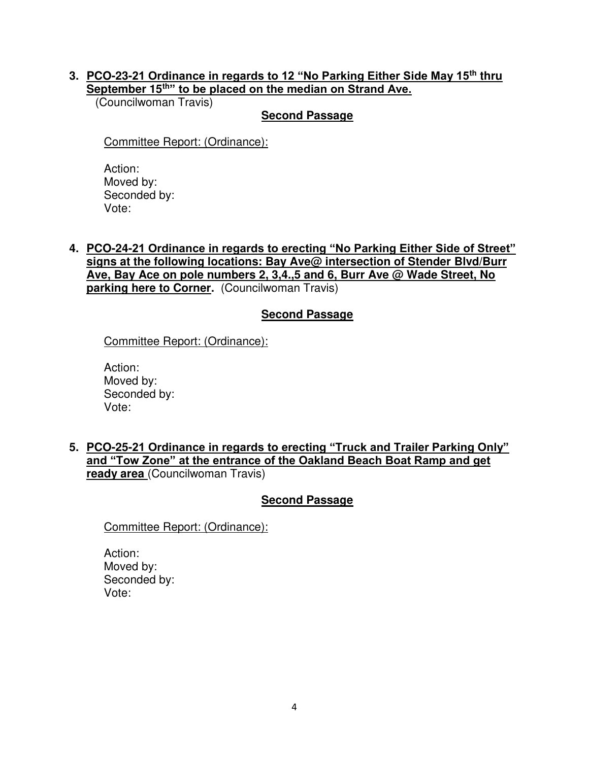### **3. PCO-23-21 Ordinance in regards to 12 "No Parking Either Side May 15th thru September 15th" to be placed on the median on Strand Ave.**

(Councilwoman Travis)

### **Second Passage**

Committee Report: (Ordinance):

Action: Moved by: Seconded by: Vote:

**4. PCO-24-21 Ordinance in regards to erecting "No Parking Either Side of Street" signs at the following locations: Bay Ave@ intersection of Stender Blvd/Burr Ave, Bay Ace on pole numbers 2, 3,4.,5 and 6, Burr Ave @ Wade Street, No parking here to Corner.** (Councilwoman Travis)

# **Second Passage**

Committee Report: (Ordinance):

Action: Moved by: Seconded by: Vote:

**5. PCO-25-21 Ordinance in regards to erecting "Truck and Trailer Parking Only" and "Tow Zone" at the entrance of the Oakland Beach Boat Ramp and get ready area** (Councilwoman Travis)

# **Second Passage**

Committee Report: (Ordinance):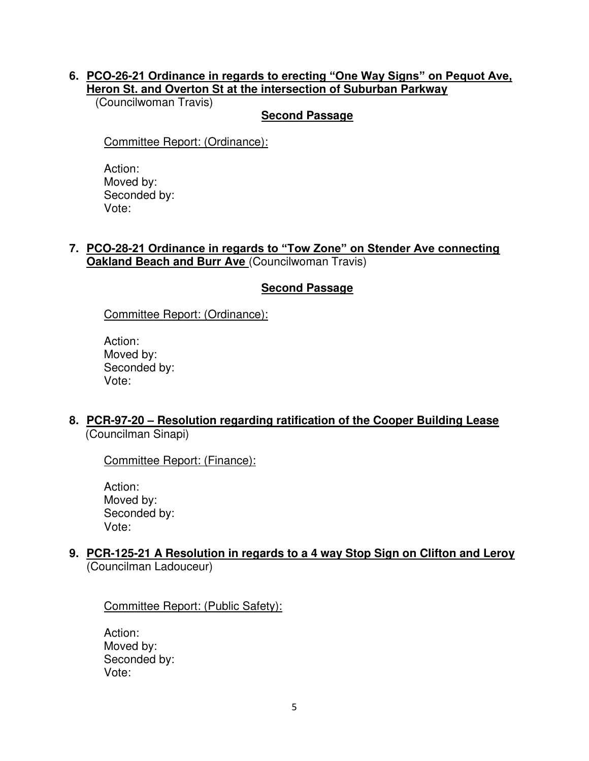### **6. PCO-26-21 Ordinance in regards to erecting "One Way Signs" on Pequot Ave, Heron St. and Overton St at the intersection of Suburban Parkway**

(Councilwoman Travis)

### **Second Passage**

Committee Report: (Ordinance):

Action: Moved by: Seconded by: Vote:

### **7. PCO-28-21 Ordinance in regards to "Tow Zone" on Stender Ave connecting Oakland Beach and Burr Ave** (Councilwoman Travis)

# **Second Passage**

Committee Report: (Ordinance):

Action: Moved by: Seconded by: Vote:

**8. PCR-97-20 – Resolution regarding ratification of the Cooper Building Lease**  (Councilman Sinapi)

Committee Report: (Finance):

Action: Moved by: Seconded by: Vote:

### **9. PCR-125-21 A Resolution in regards to a 4 way Stop Sign on Clifton and Leroy**  (Councilman Ladouceur)

Committee Report: (Public Safety):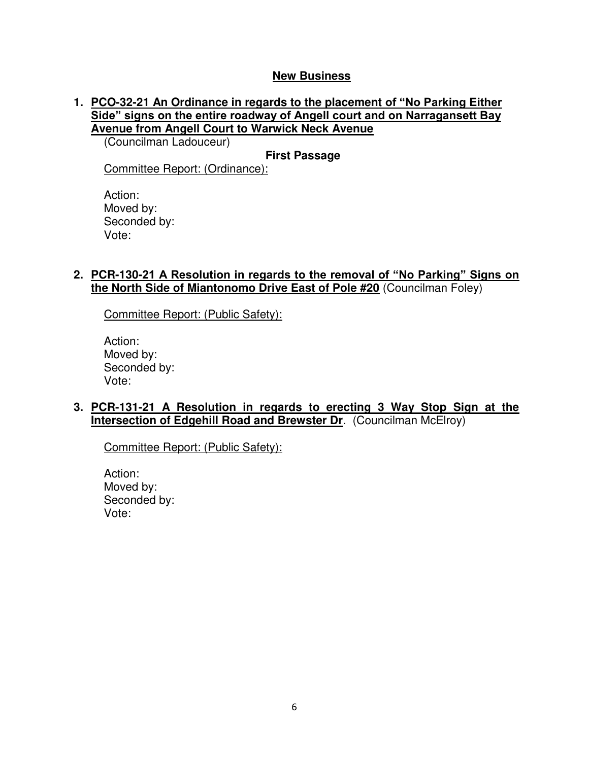### **New Business**

### **1. PCO-32-21 An Ordinance in regards to the placement of "No Parking Either Side" signs on the entire roadway of Angell court and on Narragansett Bay Avenue from Angell Court to Warwick Neck Avenue**

(Councilman Ladouceur)

**First Passage** 

Committee Report: (Ordinance):

Action: Moved by: Seconded by: Vote:

#### **2. PCR-130-21 A Resolution in regards to the removal of "No Parking" Signs on the North Side of Miantonomo Drive East of Pole #20** (Councilman Foley)

Committee Report: (Public Safety):

Action: Moved by: Seconded by: Vote:

### **3. PCR-131-21 A Resolution in regards to erecting 3 Way Stop Sign at the Intersection of Edgehill Road and Brewster Dr.** (Councilman McElroy)

Committee Report: (Public Safety):